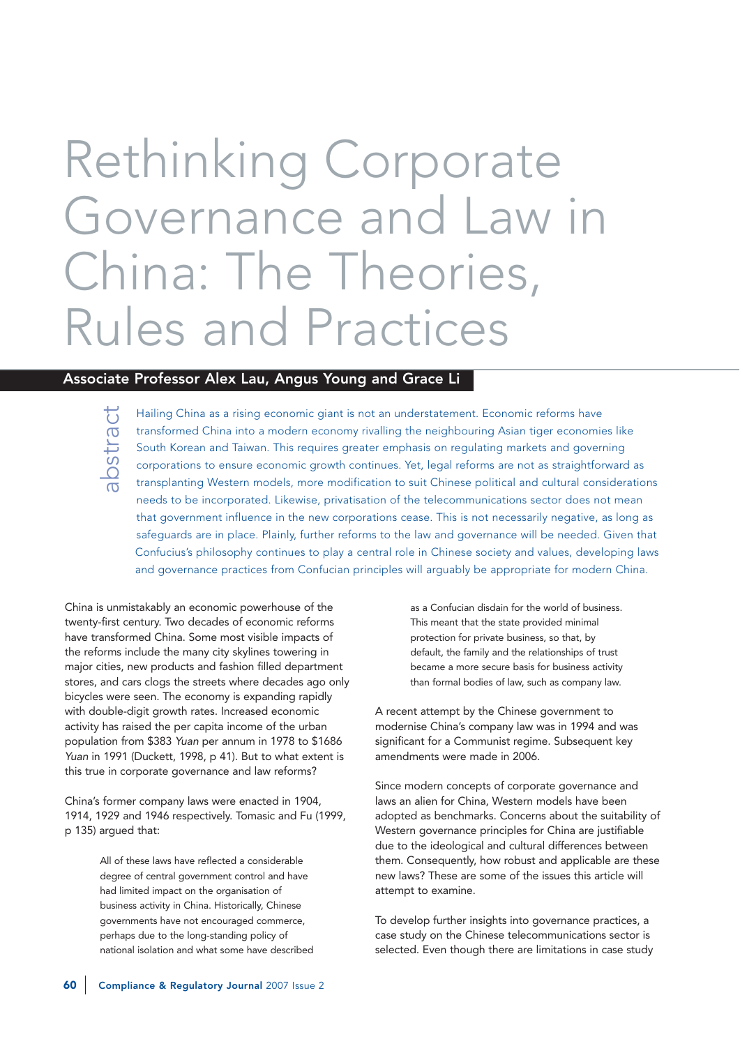# Rethinking Corporate Governance and Law in China: The Theories, Rules and Practices

# Associate Professor Alex Lau, Angus Young and Grace Li

abstract

Hailing China as a rising economic giant is not an understatement. Economic reforms have transformed China into a modern economy rivalling the neighbouring Asian tiger economies like South Korean and Taiwan. This requires greater emphasis on regulating markets and governing corporations to ensure economic growth continues. Yet, legal reforms are not as straightforward as transplanting Western models, more modification to suit Chinese political and cultural considerations needs to be incorporated. Likewise, privatisation of the telecommunications sector does not mean that government influence in the new corporations cease. This is not necessarily negative, as long as safeguards are in place. Plainly, further reforms to the law and governance will be needed. Given that Confucius's philosophy continues to play a central role in Chinese society and values, developing laws and governance practices from Confucian principles will arguably be appropriate for modern China.

China is unmistakably an economic powerhouse of the twenty-first century. Two decades of economic reforms have transformed China. Some most visible impacts of the reforms include the many city skylines towering in major cities, new products and fashion filled department stores, and cars clogs the streets where decades ago only bicycles were seen. The economy is expanding rapidly with double-digit growth rates. Increased economic activity has raised the per capita income of the urban population from \$383 Yuan per annum in 1978 to \$1686 Yuan in 1991 (Duckett, 1998, p 41). But to what extent is this true in corporate governance and law reforms?

China's former company laws were enacted in 1904, 1914, 1929 and 1946 respectively. Tomasic and Fu (1999, p 135) argued that:

> All of these laws have reflected a considerable degree of central government control and have had limited impact on the organisation of business activity in China. Historically, Chinese governments have not encouraged commerce, perhaps due to the long-standing policy of national isolation and what some have described

as a Confucian disdain for the world of business. This meant that the state provided minimal protection for private business, so that, by default, the family and the relationships of trust became a more secure basis for business activity than formal bodies of law, such as company law.

A recent attempt by the Chinese government to modernise China's company law was in 1994 and was significant for a Communist regime. Subsequent key amendments were made in 2006.

Since modern concepts of corporate governance and laws an alien for China, Western models have been adopted as benchmarks. Concerns about the suitability of Western governance principles for China are justifiable due to the ideological and cultural differences between them. Consequently, how robust and applicable are these new laws? These are some of the issues this article will attempt to examine.

To develop further insights into governance practices, a case study on the Chinese telecommunications sector is selected. Even though there are limitations in case study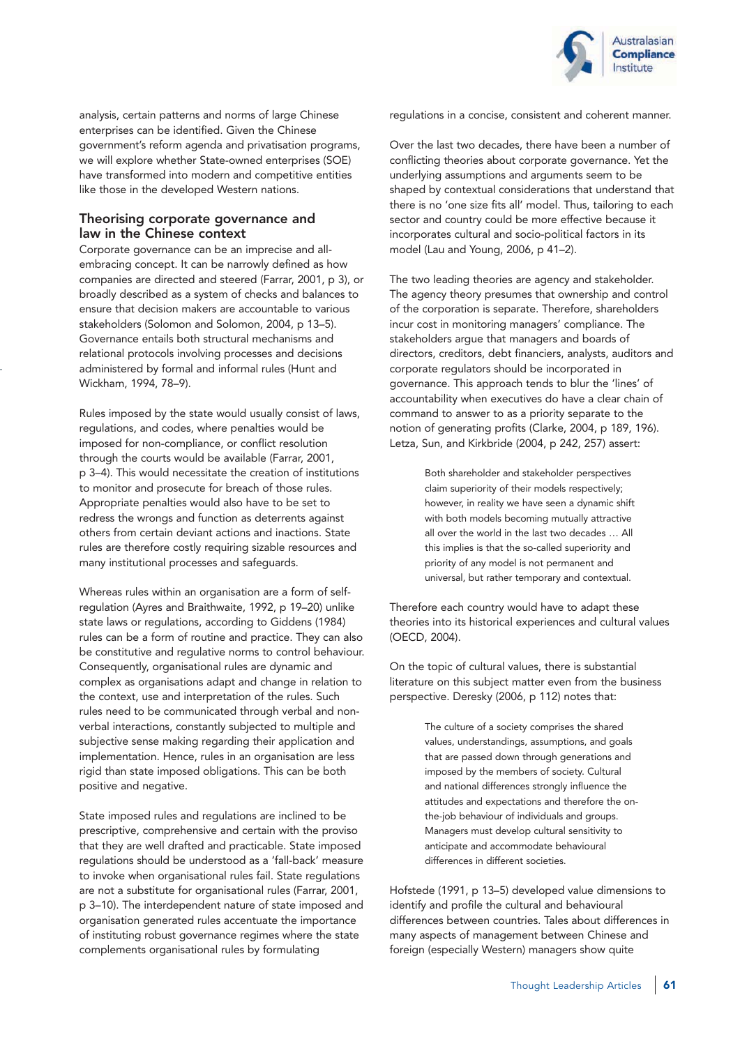

analysis, certain patterns and norms of large Chinese enterprises can be identified. Given the Chinese government's reform agenda and privatisation programs, we will explore whether State-owned enterprises (SOE) have transformed into modern and competitive entities like those in the developed Western nations.

## Theorising corporate governance and law in the Chinese context

Corporate governance can be an imprecise and allembracing concept. It can be narrowly defined as how companies are directed and steered (Farrar, 2001, p 3), or broadly described as a system of checks and balances to ensure that decision makers are accountable to various stakeholders (Solomon and Solomon, 2004, p 13–5). Governance entails both structural mechanisms and relational protocols involving processes and decisions administered by formal and informal rules (Hunt and Wickham, 1994, 78–9).

Rules imposed by the state would usually consist of laws, regulations, and codes, where penalties would be imposed for non-compliance, or conflict resolution through the courts would be available (Farrar, 2001, p 3–4). This would necessitate the creation of institutions to monitor and prosecute for breach of those rules. Appropriate penalties would also have to be set to redress the wrongs and function as deterrents against others from certain deviant actions and inactions. State rules are therefore costly requiring sizable resources and many institutional processes and safeguards.

Whereas rules within an organisation are a form of selfregulation (Ayres and Braithwaite, 1992, p 19–20) unlike state laws or regulations, according to Giddens (1984) rules can be a form of routine and practice. They can also be constitutive and regulative norms to control behaviour. Consequently, organisational rules are dynamic and complex as organisations adapt and change in relation to the context, use and interpretation of the rules. Such rules need to be communicated through verbal and nonverbal interactions, constantly subjected to multiple and subjective sense making regarding their application and implementation. Hence, rules in an organisation are less rigid than state imposed obligations. This can be both positive and negative.

State imposed rules and regulations are inclined to be prescriptive, comprehensive and certain with the proviso that they are well drafted and practicable. State imposed regulations should be understood as a 'fall-back' measure to invoke when organisational rules fail. State regulations are not a substitute for organisational rules (Farrar, 2001, p 3–10). The interdependent nature of state imposed and organisation generated rules accentuate the importance of instituting robust governance regimes where the state complements organisational rules by formulating

regulations in a concise, consistent and coherent manner.

Over the last two decades, there have been a number of conflicting theories about corporate governance. Yet the underlying assumptions and arguments seem to be shaped by contextual considerations that understand that there is no 'one size fits all' model. Thus, tailoring to each sector and country could be more effective because it incorporates cultural and socio-political factors in its model (Lau and Young, 2006, p 41–2).

The two leading theories are agency and stakeholder. The agency theory presumes that ownership and control of the corporation is separate. Therefore, shareholders incur cost in monitoring managers' compliance. The stakeholders argue that managers and boards of directors, creditors, debt financiers, analysts, auditors and corporate regulators should be incorporated in governance. This approach tends to blur the 'lines' of accountability when executives do have a clear chain of command to answer to as a priority separate to the notion of generating profits (Clarke, 2004, p 189, 196). Letza, Sun, and Kirkbride (2004, p 242, 257) assert:

> Both shareholder and stakeholder perspectives claim superiority of their models respectively; however, in reality we have seen a dynamic shift with both models becoming mutually attractive all over the world in the last two decades … All this implies is that the so-called superiority and priority of any model is not permanent and universal, but rather temporary and contextual.

Therefore each country would have to adapt these theories into its historical experiences and cultural values (OECD, 2004).

On the topic of cultural values, there is substantial literature on this subject matter even from the business perspective. Deresky (2006, p 112) notes that:

> The culture of a society comprises the shared values, understandings, assumptions, and goals that are passed down through generations and imposed by the members of society. Cultural and national differences strongly influence the attitudes and expectations and therefore the onthe-job behaviour of individuals and groups. Managers must develop cultural sensitivity to anticipate and accommodate behavioural differences in different societies.

Hofstede (1991, p 13–5) developed value dimensions to identify and profile the cultural and behavioural differences between countries. Tales about differences in many aspects of management between Chinese and foreign (especially Western) managers show quite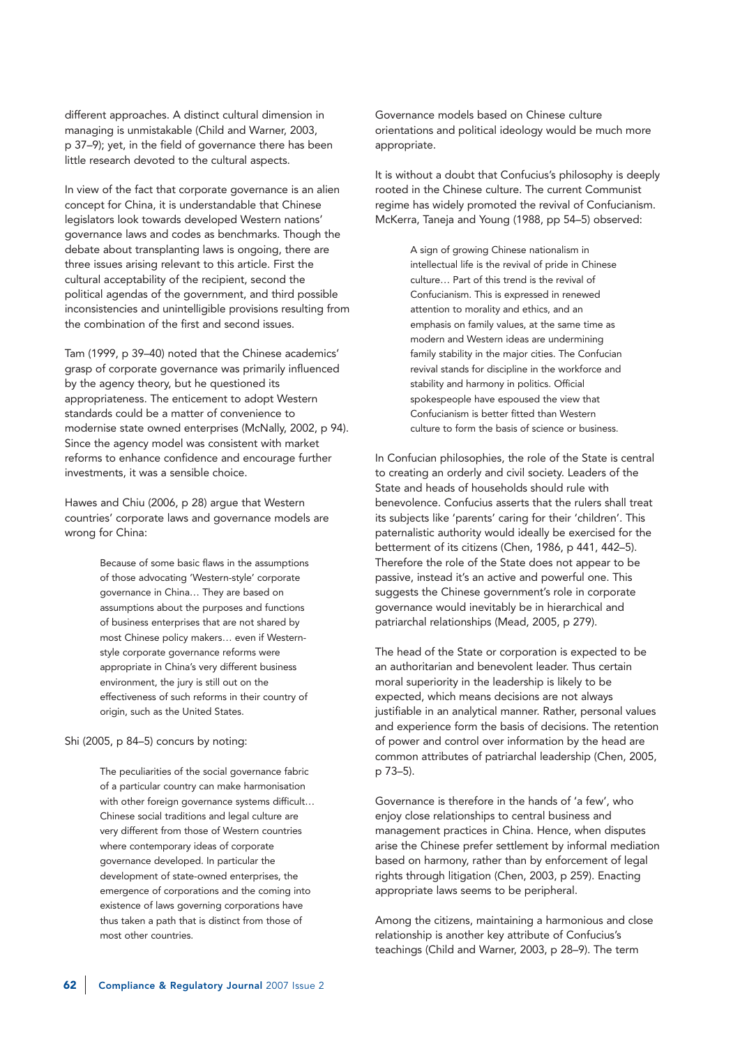different approaches. A distinct cultural dimension in managing is unmistakable (Child and Warner, 2003, p 37–9); yet, in the field of governance there has been little research devoted to the cultural aspects.

In view of the fact that corporate governance is an alien concept for China, it is understandable that Chinese legislators look towards developed Western nations' governance laws and codes as benchmarks. Though the debate about transplanting laws is ongoing, there are three issues arising relevant to this article. First the cultural acceptability of the recipient, second the political agendas of the government, and third possible inconsistencies and unintelligible provisions resulting from the combination of the first and second issues.

Tam (1999, p 39–40) noted that the Chinese academics' grasp of corporate governance was primarily influenced by the agency theory, but he questioned its appropriateness. The enticement to adopt Western standards could be a matter of convenience to modernise state owned enterprises (McNally, 2002, p 94). Since the agency model was consistent with market reforms to enhance confidence and encourage further investments, it was a sensible choice.

Hawes and Chiu (2006, p 28) argue that Western countries' corporate laws and governance models are wrong for China:

> Because of some basic flaws in the assumptions of those advocating 'Western-style' corporate governance in China… They are based on assumptions about the purposes and functions of business enterprises that are not shared by most Chinese policy makers… even if Westernstyle corporate governance reforms were appropriate in China's very different business environment, the jury is still out on the effectiveness of such reforms in their country of origin, such as the United States.

## Shi (2005, p 84–5) concurs by noting:

The peculiarities of the social governance fabric of a particular country can make harmonisation with other foreign governance systems difficult… Chinese social traditions and legal culture are very different from those of Western countries where contemporary ideas of corporate governance developed. In particular the development of state-owned enterprises, the emergence of corporations and the coming into existence of laws governing corporations have thus taken a path that is distinct from those of most other countries.

Governance models based on Chinese culture orientations and political ideology would be much more appropriate.

It is without a doubt that Confucius's philosophy is deeply rooted in the Chinese culture. The current Communist regime has widely promoted the revival of Confucianism. McKerra, Taneja and Young (1988, pp 54–5) observed:

> A sign of growing Chinese nationalism in intellectual life is the revival of pride in Chinese culture… Part of this trend is the revival of Confucianism. This is expressed in renewed attention to morality and ethics, and an emphasis on family values, at the same time as modern and Western ideas are undermining family stability in the major cities. The Confucian revival stands for discipline in the workforce and stability and harmony in politics. Official spokespeople have espoused the view that Confucianism is better fitted than Western culture to form the basis of science or business.

In Confucian philosophies, the role of the State is central to creating an orderly and civil society. Leaders of the State and heads of households should rule with benevolence. Confucius asserts that the rulers shall treat its subjects like 'parents' caring for their 'children'. This paternalistic authority would ideally be exercised for the betterment of its citizens (Chen, 1986, p 441, 442–5). Therefore the role of the State does not appear to be passive, instead it's an active and powerful one. This suggests the Chinese government's role in corporate governance would inevitably be in hierarchical and patriarchal relationships (Mead, 2005, p 279).

The head of the State or corporation is expected to be an authoritarian and benevolent leader. Thus certain moral superiority in the leadership is likely to be expected, which means decisions are not always justifiable in an analytical manner. Rather, personal values and experience form the basis of decisions. The retention of power and control over information by the head are common attributes of patriarchal leadership (Chen, 2005, p 73–5).

Governance is therefore in the hands of 'a few', who enjoy close relationships to central business and management practices in China. Hence, when disputes arise the Chinese prefer settlement by informal mediation based on harmony, rather than by enforcement of legal rights through litigation (Chen, 2003, p 259). Enacting appropriate laws seems to be peripheral.

Among the citizens, maintaining a harmonious and close relationship is another key attribute of Confucius's teachings (Child and Warner, 2003, p 28–9). The term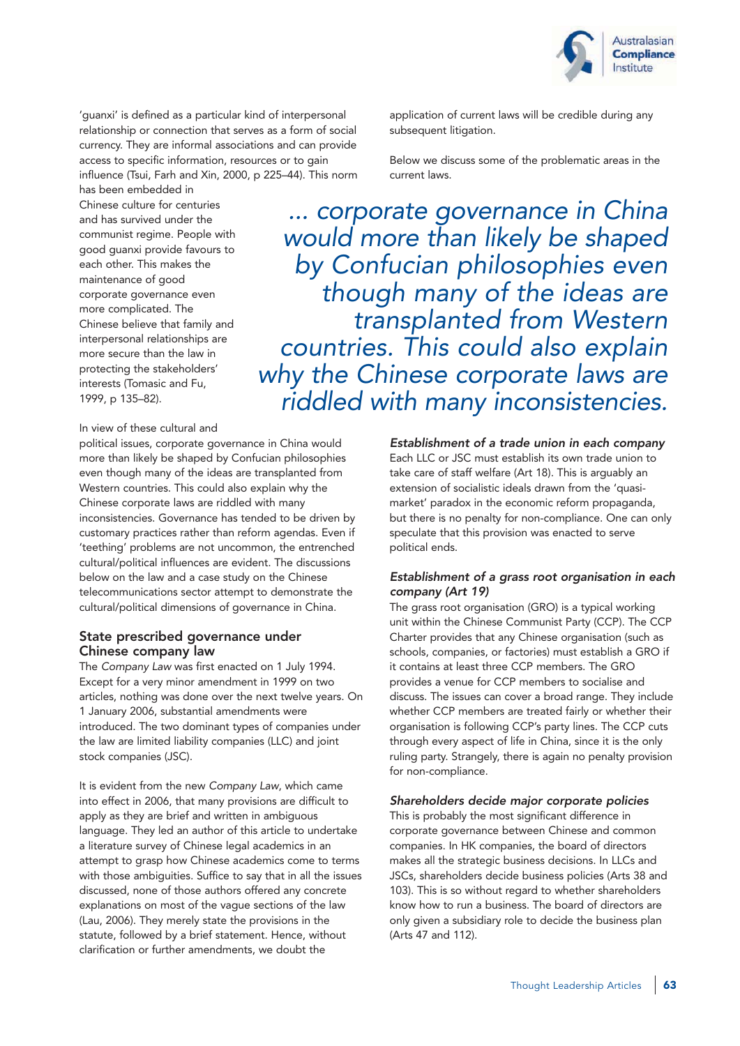

'guanxi' is defined as a particular kind of interpersonal relationship or connection that serves as a form of social currency. They are informal associations and can provide access to specific information, resources or to gain influence (Tsui, Farh and Xin, 2000, p 225–44). This norm has been embedded in

Chinese culture for centuries and has survived under the communist regime. People with good guanxi provide favours to each other. This makes the maintenance of good corporate governance even more complicated. The Chinese believe that family and interpersonal relationships are more secure than the law in protecting the stakeholders' interests (Tomasic and Fu, 1999, p 135–82).

Below we discuss some of the problematic areas in the current laws. ... corporate governance in China would more than likely be shaped by Confucian philosophies even

subsequent litigation.

application of current laws will be credible during any

though many of the ideas are transplanted from Western countries. This could also explain why the Chinese corporate laws are riddled with many inconsistencies.

In view of these cultural and

political issues, corporate governance in China would more than likely be shaped by Confucian philosophies even though many of the ideas are transplanted from Western countries. This could also explain why the Chinese corporate laws are riddled with many inconsistencies. Governance has tended to be driven by customary practices rather than reform agendas. Even if 'teething' problems are not uncommon, the entrenched cultural/political influences are evident. The discussions below on the law and a case study on the Chinese telecommunications sector attempt to demonstrate the cultural/political dimensions of governance in China.

#### State prescribed governance under Chinese company law

The Company Law was first enacted on 1 July 1994. Except for a very minor amendment in 1999 on two articles, nothing was done over the next twelve years. On 1 January 2006, substantial amendments were introduced. The two dominant types of companies under the law are limited liability companies (LLC) and joint stock companies (JSC).

It is evident from the new Company Law, which came into effect in 2006, that many provisions are difficult to apply as they are brief and written in ambiguous language. They led an author of this article to undertake a literature survey of Chinese legal academics in an attempt to grasp how Chinese academics come to terms with those ambiguities. Suffice to say that in all the issues discussed, none of those authors offered any concrete explanations on most of the vague sections of the law (Lau, 2006). They merely state the provisions in the statute, followed by a brief statement. Hence, without clarification or further amendments, we doubt the

Establishment of a trade union in each company Each LLC or JSC must establish its own trade union to take care of staff welfare (Art 18). This is arguably an extension of socialistic ideals drawn from the 'quasimarket' paradox in the economic reform propaganda, but there is no penalty for non-compliance. One can only speculate that this provision was enacted to serve political ends.

## Establishment of a grass root organisation in each company (Art 19)

The grass root organisation (GRO) is a typical working unit within the Chinese Communist Party (CCP). The CCP Charter provides that any Chinese organisation (such as schools, companies, or factories) must establish a GRO if it contains at least three CCP members. The GRO provides a venue for CCP members to socialise and discuss. The issues can cover a broad range. They include whether CCP members are treated fairly or whether their organisation is following CCP's party lines. The CCP cuts through every aspect of life in China, since it is the only ruling party. Strangely, there is again no penalty provision for non-compliance.

#### Shareholders decide major corporate policies

This is probably the most significant difference in corporate governance between Chinese and common companies. In HK companies, the board of directors makes all the strategic business decisions. In LLCs and JSCs, shareholders decide business policies (Arts 38 and 103). This is so without regard to whether shareholders know how to run a business. The board of directors are only given a subsidiary role to decide the business plan (Arts 47 and 112).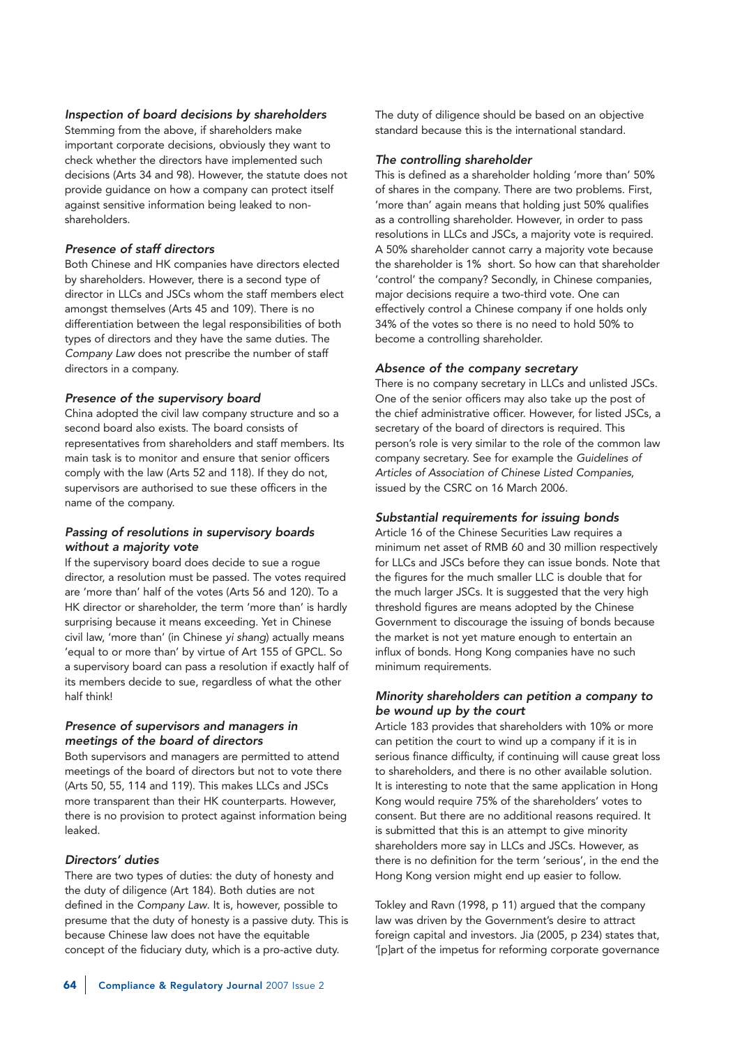#### Inspection of board decisions by shareholders

Stemming from the above, if shareholders make important corporate decisions, obviously they want to check whether the directors have implemented such decisions (Arts 34 and 98). However, the statute does not provide guidance on how a company can protect itself against sensitive information being leaked to nonshareholders.

#### Presence of staff directors

Both Chinese and HK companies have directors elected by shareholders. However, there is a second type of director in LLCs and JSCs whom the staff members elect amongst themselves (Arts 45 and 109). There is no differentiation between the legal responsibilities of both types of directors and they have the same duties. The Company Law does not prescribe the number of staff directors in a company.

#### Presence of the supervisory board

China adopted the civil law company structure and so a second board also exists. The board consists of representatives from shareholders and staff members. Its main task is to monitor and ensure that senior officers comply with the law (Arts 52 and 118). If they do not, supervisors are authorised to sue these officers in the name of the company.

#### Passing of resolutions in supervisory boards without a majority vote

If the supervisory board does decide to sue a rogue director, a resolution must be passed. The votes required are 'more than' half of the votes (Arts 56 and 120). To a HK director or shareholder, the term 'more than' is hardly surprising because it means exceeding. Yet in Chinese civil law, 'more than' (in Chinese yi shang) actually means 'equal to or more than' by virtue of Art 155 of GPCL. So a supervisory board can pass a resolution if exactly half of its members decide to sue, regardless of what the other half think!

## Presence of supervisors and managers in meetings of the board of directors

Both supervisors and managers are permitted to attend meetings of the board of directors but not to vote there (Arts 50, 55, 114 and 119). This makes LLCs and JSCs more transparent than their HK counterparts. However, there is no provision to protect against information being leaked.

#### Directors' duties

There are two types of duties: the duty of honesty and the duty of diligence (Art 184). Both duties are not defined in the Company Law. It is, however, possible to presume that the duty of honesty is a passive duty. This is because Chinese law does not have the equitable concept of the fiduciary duty, which is a pro-active duty.

The duty of diligence should be based on an objective standard because this is the international standard.

#### The controlling shareholder

This is defined as a shareholder holding 'more than' 50% of shares in the company. There are two problems. First, 'more than' again means that holding just 50% qualifies as a controlling shareholder. However, in order to pass resolutions in LLCs and JSCs, a majority vote is required. A 50% shareholder cannot carry a majority vote because the shareholder is 1% short. So how can that shareholder 'control' the company? Secondly, in Chinese companies, major decisions require a two-third vote. One can effectively control a Chinese company if one holds only 34% of the votes so there is no need to hold 50% to become a controlling shareholder.

#### Absence of the company secretary

There is no company secretary in LLCs and unlisted JSCs. One of the senior officers may also take up the post of the chief administrative officer. However, for listed JSCs, a secretary of the board of directors is required. This person's role is very similar to the role of the common law company secretary. See for example the Guidelines of Articles of Association of Chinese Listed Companies, issued by the CSRC on 16 March 2006.

#### Substantial requirements for issuing bonds

Article 16 of the Chinese Securities Law requires a minimum net asset of RMB 60 and 30 million respectively for LLCs and JSCs before they can issue bonds. Note that the figures for the much smaller LLC is double that for the much larger JSCs. It is suggested that the very high threshold figures are means adopted by the Chinese Government to discourage the issuing of bonds because the market is not yet mature enough to entertain an influx of bonds. Hong Kong companies have no such minimum requirements.

#### Minority shareholders can petition a company to be wound up by the court

Article 183 provides that shareholders with 10% or more can petition the court to wind up a company if it is in serious finance difficulty, if continuing will cause great loss to shareholders, and there is no other available solution. It is interesting to note that the same application in Hong Kong would require 75% of the shareholders' votes to consent. But there are no additional reasons required. It is submitted that this is an attempt to give minority shareholders more say in LLCs and JSCs. However, as there is no definition for the term 'serious', in the end the Hong Kong version might end up easier to follow.

Tokley and Ravn (1998, p 11) argued that the company law was driven by the Government's desire to attract foreign capital and investors. Jia (2005, p 234) states that, '[p]art of the impetus for reforming corporate governance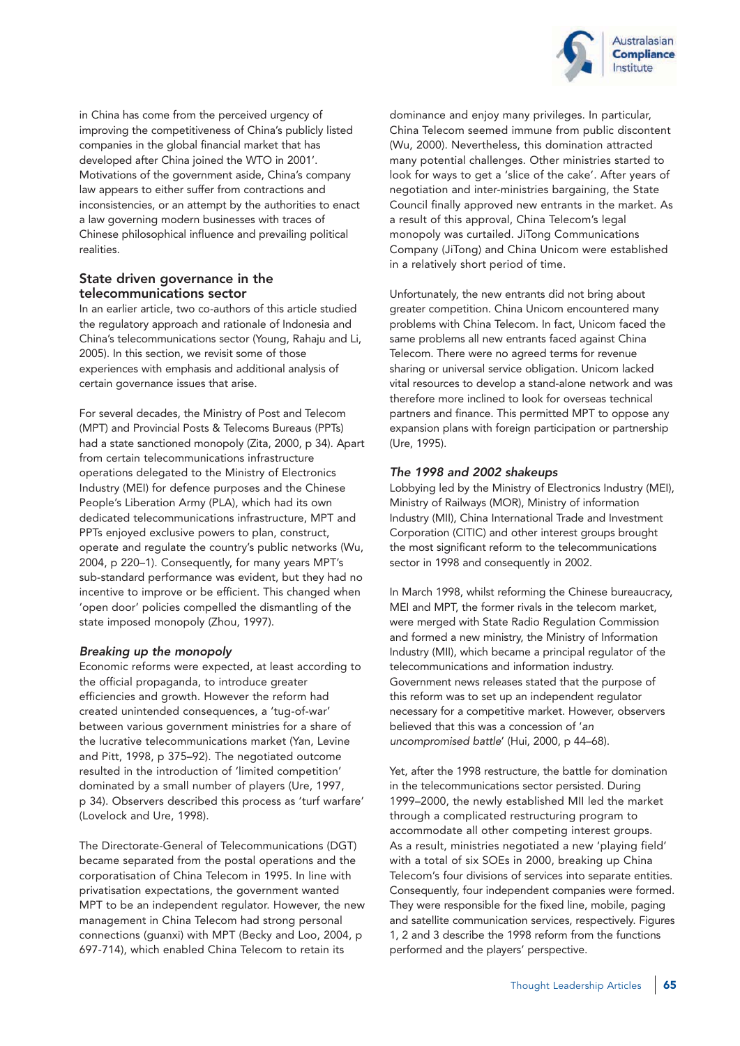

in China has come from the perceived urgency of improving the competitiveness of China's publicly listed companies in the global financial market that has developed after China joined the WTO in 2001'. Motivations of the government aside, China's company law appears to either suffer from contractions and inconsistencies, or an attempt by the authorities to enact a law governing modern businesses with traces of Chinese philosophical influence and prevailing political realities.

## State driven governance in the telecommunications sector

In an earlier article, two co-authors of this article studied the regulatory approach and rationale of Indonesia and China's telecommunications sector (Young, Rahaju and Li, 2005). In this section, we revisit some of those experiences with emphasis and additional analysis of certain governance issues that arise.

For several decades, the Ministry of Post and Telecom (MPT) and Provincial Posts & Telecoms Bureaus (PPTs) had a state sanctioned monopoly (Zita, 2000, p 34). Apart from certain telecommunications infrastructure operations delegated to the Ministry of Electronics Industry (MEI) for defence purposes and the Chinese People's Liberation Army (PLA), which had its own dedicated telecommunications infrastructure, MPT and PPTs enjoyed exclusive powers to plan, construct, operate and regulate the country's public networks (Wu, 2004, p 220–1). Consequently, for many years MPT's sub-standard performance was evident, but they had no incentive to improve or be efficient. This changed when 'open door' policies compelled the dismantling of the state imposed monopoly (Zhou, 1997).

#### Breaking up the monopoly

Economic reforms were expected, at least according to the official propaganda, to introduce greater efficiencies and growth. However the reform had created unintended consequences, a 'tug-of-war' between various government ministries for a share of the lucrative telecommunications market (Yan, Levine and Pitt, 1998, p 375–92). The negotiated outcome resulted in the introduction of 'limited competition' dominated by a small number of players (Ure, 1997, p 34). Observers described this process as 'turf warfare' (Lovelock and Ure, 1998).

The Directorate-General of Telecommunications (DGT) became separated from the postal operations and the corporatisation of China Telecom in 1995. In line with privatisation expectations, the government wanted MPT to be an independent regulator. However, the new management in China Telecom had strong personal connections (guanxi) with MPT (Becky and Loo, 2004, p 697-714), which enabled China Telecom to retain its

dominance and enjoy many privileges. In particular, China Telecom seemed immune from public discontent (Wu, 2000). Nevertheless, this domination attracted many potential challenges. Other ministries started to look for ways to get a 'slice of the cake'. After years of negotiation and inter-ministries bargaining, the State Council finally approved new entrants in the market. As a result of this approval, China Telecom's legal monopoly was curtailed. JiTong Communications Company (JiTong) and China Unicom were established in a relatively short period of time.

Unfortunately, the new entrants did not bring about greater competition. China Unicom encountered many problems with China Telecom. In fact, Unicom faced the same problems all new entrants faced against China Telecom. There were no agreed terms for revenue sharing or universal service obligation. Unicom lacked vital resources to develop a stand-alone network and was therefore more inclined to look for overseas technical partners and finance. This permitted MPT to oppose any expansion plans with foreign participation or partnership (Ure, 1995).

## The 1998 and 2002 shakeups

Lobbying led by the Ministry of Electronics Industry (MEI), Ministry of Railways (MOR), Ministry of information Industry (MII), China International Trade and Investment Corporation (CITIC) and other interest groups brought the most significant reform to the telecommunications sector in 1998 and consequently in 2002.

In March 1998, whilst reforming the Chinese bureaucracy, MEI and MPT, the former rivals in the telecom market, were merged with State Radio Regulation Commission and formed a new ministry, the Ministry of Information Industry (MII), which became a principal regulator of the telecommunications and information industry. Government news releases stated that the purpose of this reform was to set up an independent regulator necessary for a competitive market. However, observers believed that this was a concession of 'an uncompromised battle' (Hui, 2000, p 44–68).

Yet, after the 1998 restructure, the battle for domination in the telecommunications sector persisted. During 1999–2000, the newly established MII led the market through a complicated restructuring program to accommodate all other competing interest groups. As a result, ministries negotiated a new 'playing field' with a total of six SOEs in 2000, breaking up China Telecom's four divisions of services into separate entities. Consequently, four independent companies were formed. They were responsible for the fixed line, mobile, paging and satellite communication services, respectively. Figures 1, 2 and 3 describe the 1998 reform from the functions performed and the players' perspective.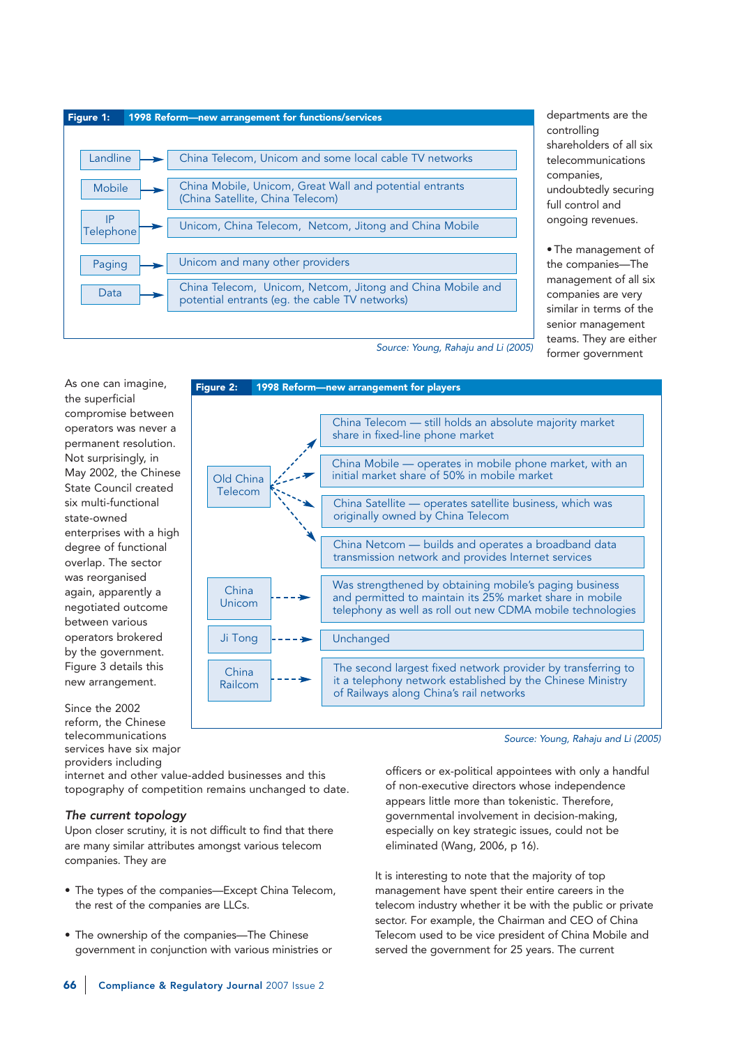

Figure 2: 1998 Reform—new arrangement for players

departments are the controlling shareholders of all six telecommunications companies, undoubtedly securing full control and ongoing revenues.

• The management of the companies—The management of all six companies are very similar in terms of the senior management teams. They are either former government

Source: Young, Rahaju and Li (2005)

share in fixed-line phone market

originally owned by China Telecom

of Railways along China's rail networks

initial market share of 50% in mobile market

China Telecom — still holds an absolute majority market

China Mobile — operates in mobile phone market, with an

China Satellite — operates satellite business, which was

China Netcom — builds and operates a broadband data transmission network and provides Internet services

Was strengthened by obtaining mobile's paging business and permitted to maintain its 25% market share in mobile telephony as well as roll out new CDMA mobile technologies

The second largest fixed network provider by transferring to it a telephony network established by the Chinese Ministry

As one can imagine, the superficial compromise between operators was never a permanent resolution. Not surprisingly, in May 2002, the Chinese State Council created six multi-functional state-owned enterprises with a high degree of functional overlap. The sector was reorganised again, apparently a negotiated outcome between various operators brokered by the government. Figure 3 details this new arrangement.

Since the 2002 reform, the Chinese telecommunications services have six major providers including

internet and other value-added businesses and this topography of competition remains unchanged to date.

Old China Telecom

> China Unicom

China Railcom

Ji Tong

## The current topology

Upon closer scrutiny, it is not difficult to find that there are many similar attributes amongst various telecom companies. They are

- The types of the companies—Except China Telecom, the rest of the companies are LLCs.
- The ownership of the companies—The Chinese government in conjunction with various ministries or



Unchanged

management have spent their entire careers in the telecom industry whether it be with the public or private sector. For example, the Chairman and CEO of China Telecom used to be vice president of China Mobile and served the government for 25 years. The current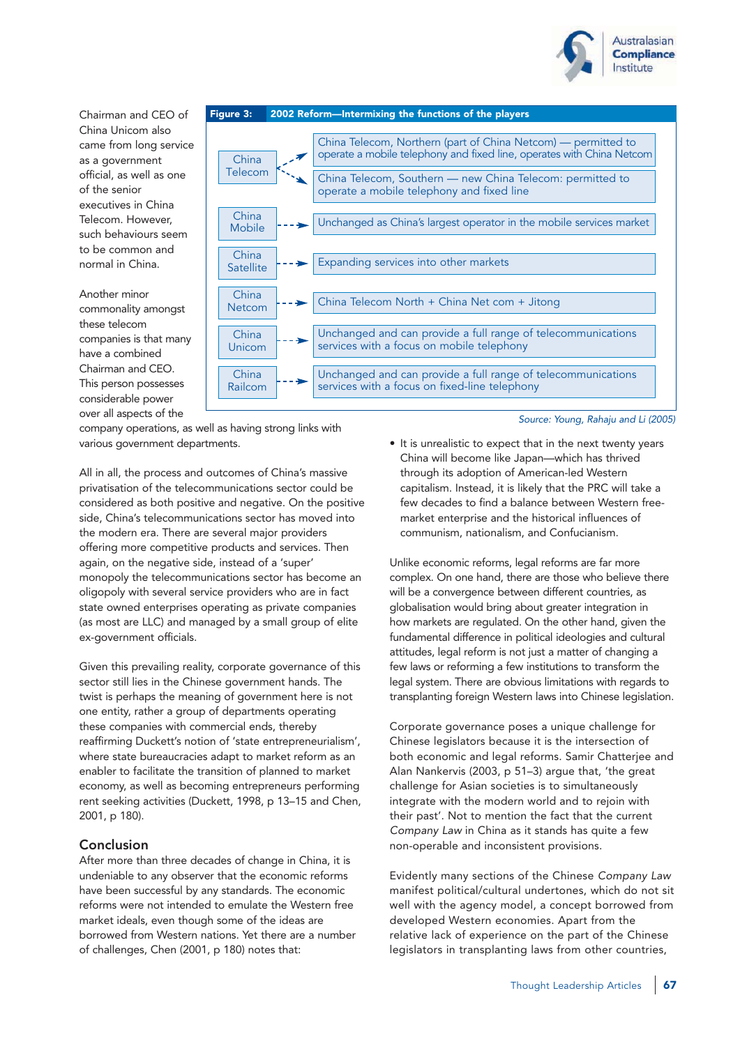

Chairman and CEO of China Unicom also came from long service as a government official, as well as one of the senior executives in China Telecom. However, such behaviours seem to be common and normal in China.

Another minor commonality amongst these telecom companies is that many have a combined Chairman and CEO. This person possesses considerable power over all aspects of the



company operations, as well as having strong links with various government departments.

All in all, the process and outcomes of China's massive privatisation of the telecommunications sector could be considered as both positive and negative. On the positive side, China's telecommunications sector has moved into the modern era. There are several major providers offering more competitive products and services. Then again, on the negative side, instead of a 'super' monopoly the telecommunications sector has become an oligopoly with several service providers who are in fact state owned enterprises operating as private companies (as most are LLC) and managed by a small group of elite ex-government officials.

Given this prevailing reality, corporate governance of this sector still lies in the Chinese government hands. The twist is perhaps the meaning of government here is not one entity, rather a group of departments operating these companies with commercial ends, thereby reaffirming Duckett's notion of 'state entrepreneurialism', where state bureaucracies adapt to market reform as an enabler to facilitate the transition of planned to market economy, as well as becoming entrepreneurs performing rent seeking activities (Duckett, 1998, p 13–15 and Chen, 2001, p 180).

# Conclusion

After more than three decades of change in China, it is undeniable to any observer that the economic reforms have been successful by any standards. The economic reforms were not intended to emulate the Western free market ideals, even though some of the ideas are borrowed from Western nations. Yet there are a number of challenges, Chen (2001, p 180) notes that:

Source: Young, Rahaju and Li (2005)

• It is unrealistic to expect that in the next twenty years China will become like Japan—which has thrived through its adoption of American-led Western capitalism. Instead, it is likely that the PRC will take a few decades to find a balance between Western freemarket enterprise and the historical influences of communism, nationalism, and Confucianism.

Unlike economic reforms, legal reforms are far more complex. On one hand, there are those who believe there will be a convergence between different countries, as globalisation would bring about greater integration in how markets are regulated. On the other hand, given the fundamental difference in political ideologies and cultural attitudes, legal reform is not just a matter of changing a few laws or reforming a few institutions to transform the legal system. There are obvious limitations with regards to transplanting foreign Western laws into Chinese legislation.

Corporate governance poses a unique challenge for Chinese legislators because it is the intersection of both economic and legal reforms. Samir Chatterjee and Alan Nankervis (2003, p 51–3) argue that, 'the great challenge for Asian societies is to simultaneously integrate with the modern world and to rejoin with their past'. Not to mention the fact that the current Company Law in China as it stands has quite a few non-operable and inconsistent provisions.

Evidently many sections of the Chinese Company Law manifest political/cultural undertones, which do not sit well with the agency model, a concept borrowed from developed Western economies. Apart from the relative lack of experience on the part of the Chinese legislators in transplanting laws from other countries,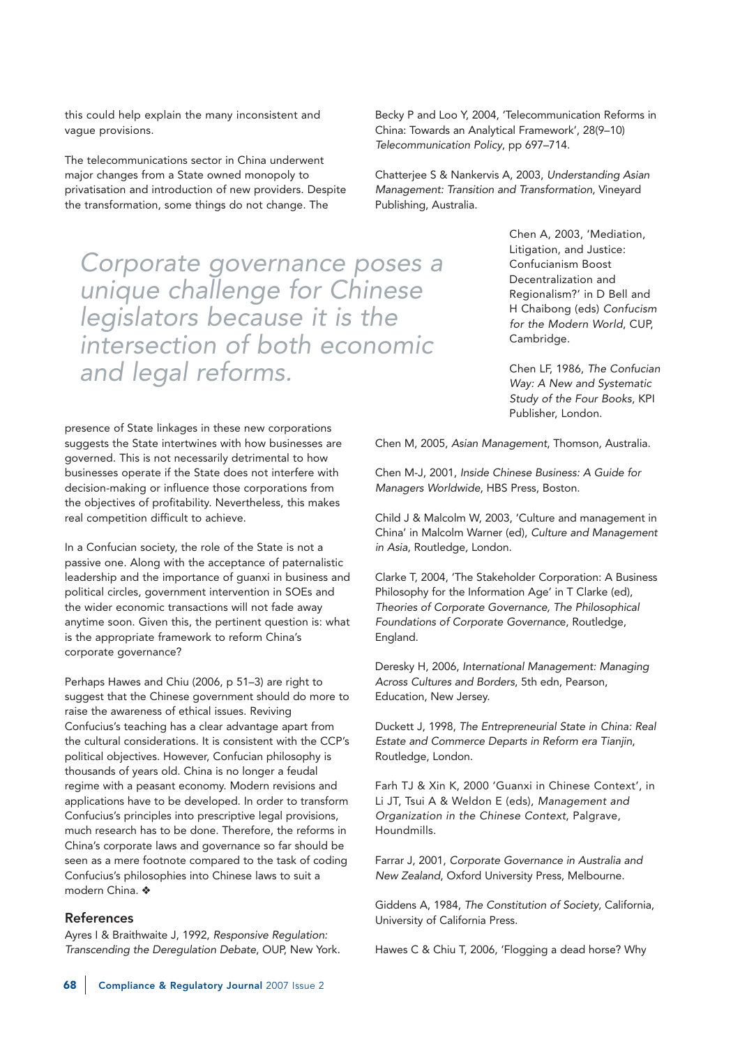this could help explain the many inconsistent and vague provisions.

The telecommunications sector in China underwent major changes from a State owned monopoly to privatisation and introduction of new providers. Despite the transformation, some things do not change. The

Corporate governance poses a unique challenge for Chinese legislators because it is the intersection of both economic and legal reforms.

Becky P and Loo Y, 2004, 'Telecommunication Reforms in China: Towards an Analytical Framework', 28(9–10) Telecommunication Policy, pp 697–714.

Chatterjee S & Nankervis A, 2003, Understanding Asian Management: Transition and Transformation, Vineyard Publishing, Australia.

> Chen A, 2003, 'Mediation, Litigation, and Justice: Confucianism Boost Decentralization and Regionalism?' in D Bell and H Chaibong (eds) Confucism for the Modern World, CUP, Cambridge.

Chen LF, 1986, The Confucian Way: A New and Systematic Study of the Four Books, KPI Publisher, London.

presence of State linkages in these new corporations suggests the State intertwines with how businesses are governed. This is not necessarily detrimental to how businesses operate if the State does not interfere with decision-making or influence those corporations from the objectives of profitability. Nevertheless, this makes real competition difficult to achieve.

In a Confucian society, the role of the State is not a passive one. Along with the acceptance of paternalistic leadership and the importance of guanxi in business and political circles, government intervention in SOEs and the wider economic transactions will not fade away anytime soon. Given this, the pertinent question is: what is the appropriate framework to reform China's corporate governance?

Perhaps Hawes and Chiu (2006, p 51–3) are right to suggest that the Chinese government should do more to raise the awareness of ethical issues. Reviving Confucius's teaching has a clear advantage apart from the cultural considerations. It is consistent with the CCP's political objectives. However, Confucian philosophy is thousands of years old. China is no longer a feudal regime with a peasant economy. Modern revisions and applications have to be developed. In order to transform Confucius's principles into prescriptive legal provisions, much research has to be done. Therefore, the reforms in China's corporate laws and governance so far should be seen as a mere footnote compared to the task of coding Confucius's philosophies into Chinese laws to suit a modern China. ❖

## References

Ayres I & Braithwaite J, 1992, Responsive Regulation: Transcending the Deregulation Debate, OUP, New York. Chen M, 2005, Asian Management, Thomson, Australia.

Chen M-J, 2001, Inside Chinese Business: A Guide for Managers Worldwide, HBS Press, Boston.

Child J & Malcolm W, 2003, 'Culture and management in China' in Malcolm Warner (ed), Culture and Management in Asia, Routledge, London.

Clarke T, 2004, 'The Stakeholder Corporation: A Business Philosophy for the Information Age' in T Clarke (ed), Theories of Corporate Governance, The Philosophical Foundations of Corporate Governance, Routledge, England.

Deresky H, 2006, International Management: Managing Across Cultures and Borders, 5th edn, Pearson, Education, New Jersey.

Duckett J, 1998, The Entrepreneurial State in China: Real Estate and Commerce Departs in Reform era Tianjin, Routledge, London.

Farh TJ & Xin K, 2000 'Guanxi in Chinese Context', in Li JT, Tsui A & Weldon E (eds), Management and Organization in the Chinese Context, Palgrave, Houndmills.

Farrar J, 2001, Corporate Governance in Australia and New Zealand, Oxford University Press, Melbourne.

Giddens A, 1984, The Constitution of Society, California, University of California Press.

Hawes C & Chiu T, 2006, 'Flogging a dead horse? Why